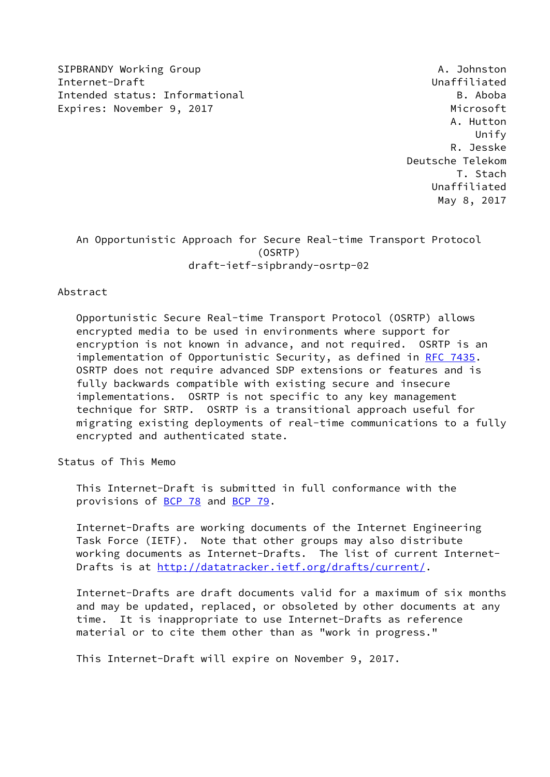SIPBRANDY Working Group And the Communication of the Communication of the Communication of the Communication of the Communication of the Communication of the Communication of the Communication of the Communication of the C Internet-Draft Unaffiliated Intended status: Informational B. Aboba Expires: November 9, 2017 and the expires: Microsoft

 A. Hutton Unify R. Jesske Deutsche Telekom T. Stach Unaffiliated May 8, 2017

## An Opportunistic Approach for Secure Real-time Transport Protocol (OSRTP) draft-ietf-sipbrandy-osrtp-02

Abstract

 Opportunistic Secure Real-time Transport Protocol (OSRTP) allows encrypted media to be used in environments where support for encryption is not known in advance, and not required. OSRTP is an implementation of Opportunistic Security, as defined in [RFC 7435](https://datatracker.ietf.org/doc/pdf/rfc7435). OSRTP does not require advanced SDP extensions or features and is fully backwards compatible with existing secure and insecure implementations. OSRTP is not specific to any key management technique for SRTP. OSRTP is a transitional approach useful for migrating existing deployments of real-time communications to a fully encrypted and authenticated state.

Status of This Memo

 This Internet-Draft is submitted in full conformance with the provisions of [BCP 78](https://datatracker.ietf.org/doc/pdf/bcp78) and [BCP 79](https://datatracker.ietf.org/doc/pdf/bcp79).

 Internet-Drafts are working documents of the Internet Engineering Task Force (IETF). Note that other groups may also distribute working documents as Internet-Drafts. The list of current Internet- Drafts is at<http://datatracker.ietf.org/drafts/current/>.

 Internet-Drafts are draft documents valid for a maximum of six months and may be updated, replaced, or obsoleted by other documents at any time. It is inappropriate to use Internet-Drafts as reference material or to cite them other than as "work in progress."

This Internet-Draft will expire on November 9, 2017.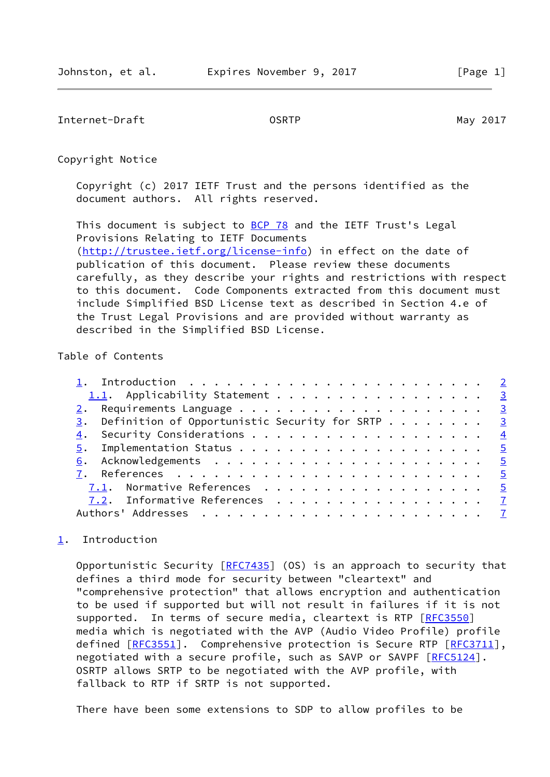<span id="page-1-1"></span>Internet-Draft **OSRTP** OSRTP May 2017

Copyright Notice

 Copyright (c) 2017 IETF Trust and the persons identified as the document authors. All rights reserved.

This document is subject to **[BCP 78](https://datatracker.ietf.org/doc/pdf/bcp78)** and the IETF Trust's Legal Provisions Relating to IETF Documents [\(http://trustee.ietf.org/license-info](http://trustee.ietf.org/license-info)) in effect on the date of publication of this document. Please review these documents carefully, as they describe your rights and restrictions with respect to this document. Code Components extracted from this document must include Simplified BSD License text as described in Section 4.e of the Trust Legal Provisions and are provided without warranty as described in the Simplified BSD License.

## Table of Contents

| 1.1. Applicability Statement 3                                    |  |  |  |  |
|-------------------------------------------------------------------|--|--|--|--|
|                                                                   |  |  |  |  |
| $\underline{3}$ . Definition of Opportunistic Security for SRTP 3 |  |  |  |  |
|                                                                   |  |  |  |  |
|                                                                   |  |  |  |  |
|                                                                   |  |  |  |  |
|                                                                   |  |  |  |  |
| 7.1. Normative References 5                                       |  |  |  |  |
| 7.2. Informative References 7                                     |  |  |  |  |
|                                                                   |  |  |  |  |

## <span id="page-1-0"></span>[1](#page-1-0). Introduction

Opportunistic Security  $[RFC7435]$  $[RFC7435]$  (OS) is an approach to security that defines a third mode for security between "cleartext" and "comprehensive protection" that allows encryption and authentication to be used if supported but will not result in failures if it is not supported. In terms of secure media, cleartext is RTP [\[RFC3550](https://datatracker.ietf.org/doc/pdf/rfc3550)] media which is negotiated with the AVP (Audio Video Profile) profile defined [\[RFC3551](https://datatracker.ietf.org/doc/pdf/rfc3551)]. Comprehensive protection is Secure RTP [[RFC3711\]](https://datatracker.ietf.org/doc/pdf/rfc3711), negotiated with a secure profile, such as SAVP or SAVPF [\[RFC5124](https://datatracker.ietf.org/doc/pdf/rfc5124)]. OSRTP allows SRTP to be negotiated with the AVP profile, with fallback to RTP if SRTP is not supported.

There have been some extensions to SDP to allow profiles to be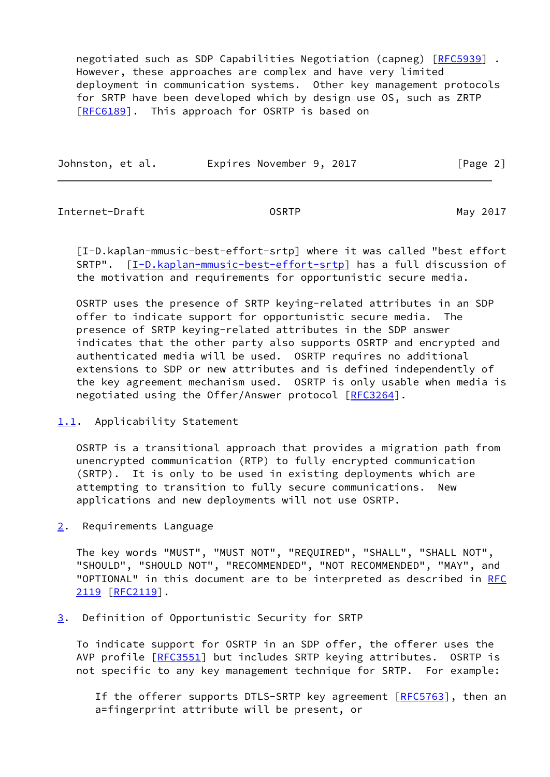negotiated such as SDP Capabilities Negotiation (capneg) [\[RFC5939](https://datatracker.ietf.org/doc/pdf/rfc5939)] . However, these approaches are complex and have very limited deployment in communication systems. Other key management protocols for SRTP have been developed which by design use OS, such as ZRTP [\[RFC6189](https://datatracker.ietf.org/doc/pdf/rfc6189)]. This approach for OSRTP is based on

| Johnston, et al. | Expires November 9, 2017 | [Page 2] |
|------------------|--------------------------|----------|
|                  |                          |          |

<span id="page-2-1"></span>Internet-Draft OSRTP May 2017

<span id="page-2-4"></span> [I-D.kaplan-mmusic-best-effort-srtp] where it was called "best effort SRTP". [\[I-D.kaplan-mmusic-best-effort-srtp\]](#page-2-4) has a full discussion of the motivation and requirements for opportunistic secure media.

 OSRTP uses the presence of SRTP keying-related attributes in an SDP offer to indicate support for opportunistic secure media. The presence of SRTP keying-related attributes in the SDP answer indicates that the other party also supports OSRTP and encrypted and authenticated media will be used. OSRTP requires no additional extensions to SDP or new attributes and is defined independently of the key agreement mechanism used. OSRTP is only usable when media is negotiated using the Offer/Answer protocol [[RFC3264\]](https://datatracker.ietf.org/doc/pdf/rfc3264).

<span id="page-2-0"></span>[1.1](#page-2-0). Applicability Statement

 OSRTP is a transitional approach that provides a migration path from unencrypted communication (RTP) to fully encrypted communication (SRTP). It is only to be used in existing deployments which are attempting to transition to fully secure communications. New applications and new deployments will not use OSRTP.

<span id="page-2-2"></span>[2](#page-2-2). Requirements Language

 The key words "MUST", "MUST NOT", "REQUIRED", "SHALL", "SHALL NOT", "SHOULD", "SHOULD NOT", "RECOMMENDED", "NOT RECOMMENDED", "MAY", and "OPTIONAL" in this document are to be interpreted as described in [RFC](https://datatracker.ietf.org/doc/pdf/rfc2119) [2119](https://datatracker.ietf.org/doc/pdf/rfc2119) [\[RFC2119](https://datatracker.ietf.org/doc/pdf/rfc2119)].

<span id="page-2-3"></span>[3](#page-2-3). Definition of Opportunistic Security for SRTP

 To indicate support for OSRTP in an SDP offer, the offerer uses the AVP profile [\[RFC3551](https://datatracker.ietf.org/doc/pdf/rfc3551)] but includes SRTP keying attributes. OSRTP is not specific to any key management technique for SRTP. For example:

If the offerer supports DTLS-SRTP key agreement [[RFC5763\]](https://datatracker.ietf.org/doc/pdf/rfc5763), then an a=fingerprint attribute will be present, or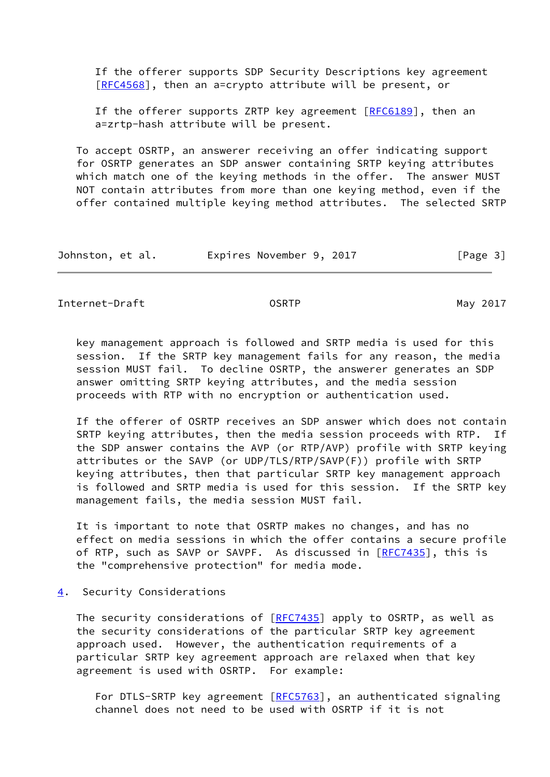If the offerer supports SDP Security Descriptions key agreement [[RFC4568\]](https://datatracker.ietf.org/doc/pdf/rfc4568), then an a=crypto attribute will be present, or

If the offerer supports ZRTP key agreement  $[REG189]$ , then an a=zrtp-hash attribute will be present.

 To accept OSRTP, an answerer receiving an offer indicating support for OSRTP generates an SDP answer containing SRTP keying attributes which match one of the keying methods in the offer. The answer MUST NOT contain attributes from more than one keying method, even if the offer contained multiple keying method attributes. The selected SRTP

| Johnston, et al. | Expires November 9, 2017 | [Page 3] |
|------------------|--------------------------|----------|
|------------------|--------------------------|----------|

<span id="page-3-1"></span>Internet-Draft **Canadian Control** OSRTP May 2017

 key management approach is followed and SRTP media is used for this session. If the SRTP key management fails for any reason, the media session MUST fail. To decline OSRTP, the answerer generates an SDP answer omitting SRTP keying attributes, and the media session proceeds with RTP with no encryption or authentication used.

 If the offerer of OSRTP receives an SDP answer which does not contain SRTP keying attributes, then the media session proceeds with RTP. If the SDP answer contains the AVP (or RTP/AVP) profile with SRTP keying attributes or the SAVP (or UDP/TLS/RTP/SAVP(F)) profile with SRTP keying attributes, then that particular SRTP key management approach is followed and SRTP media is used for this session. If the SRTP key management fails, the media session MUST fail.

 It is important to note that OSRTP makes no changes, and has no effect on media sessions in which the offer contains a secure profile of RTP, such as SAVP or SAVPF. As discussed in [\[RFC7435](https://datatracker.ietf.org/doc/pdf/rfc7435)], this is the "comprehensive protection" for media mode.

<span id="page-3-0"></span>[4](#page-3-0). Security Considerations

The security considerations of [\[RFC7435](https://datatracker.ietf.org/doc/pdf/rfc7435)] apply to OSRTP, as well as the security considerations of the particular SRTP key agreement approach used. However, the authentication requirements of a particular SRTP key agreement approach are relaxed when that key agreement is used with OSRTP. For example:

For DTLS-SRTP key agreement [\[RFC5763](https://datatracker.ietf.org/doc/pdf/rfc5763)], an authenticated signaling channel does not need to be used with OSRTP if it is not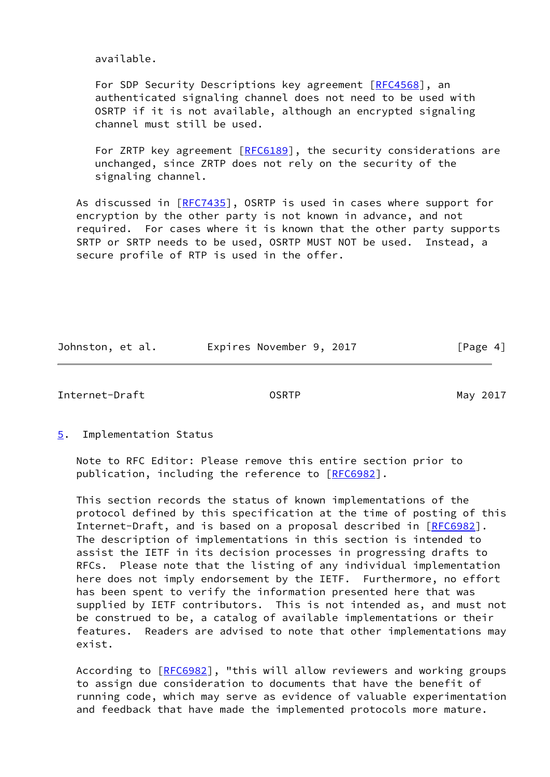available.

For SDP Security Descriptions key agreement [\[RFC4568](https://datatracker.ietf.org/doc/pdf/rfc4568)], an authenticated signaling channel does not need to be used with OSRTP if it is not available, although an encrypted signaling channel must still be used.

For ZRTP key agreement [[RFC6189](https://datatracker.ietf.org/doc/pdf/rfc6189)], the security considerations are unchanged, since ZRTP does not rely on the security of the signaling channel.

As discussed in [\[RFC7435](https://datatracker.ietf.org/doc/pdf/rfc7435)], OSRTP is used in cases where support for encryption by the other party is not known in advance, and not required. For cases where it is known that the other party supports SRTP or SRTP needs to be used, OSRTP MUST NOT be used. Instead, a secure profile of RTP is used in the offer.

Johnston, et al. **Expires November 9, 2017** [Page 4]

<span id="page-4-1"></span>Internet-Draft OSRTP May 2017

<span id="page-4-0"></span>[5](#page-4-0). Implementation Status

 Note to RFC Editor: Please remove this entire section prior to publication, including the reference to [\[RFC6982](https://datatracker.ietf.org/doc/pdf/rfc6982)].

 This section records the status of known implementations of the protocol defined by this specification at the time of posting of this Internet-Draft, and is based on a proposal described in [\[RFC6982](https://datatracker.ietf.org/doc/pdf/rfc6982)]. The description of implementations in this section is intended to assist the IETF in its decision processes in progressing drafts to RFCs. Please note that the listing of any individual implementation here does not imply endorsement by the IETF. Furthermore, no effort has been spent to verify the information presented here that was supplied by IETF contributors. This is not intended as, and must not be construed to be, a catalog of available implementations or their features. Readers are advised to note that other implementations may exist.

According to [\[RFC6982](https://datatracker.ietf.org/doc/pdf/rfc6982)], "this will allow reviewers and working groups to assign due consideration to documents that have the benefit of running code, which may serve as evidence of valuable experimentation and feedback that have made the implemented protocols more mature.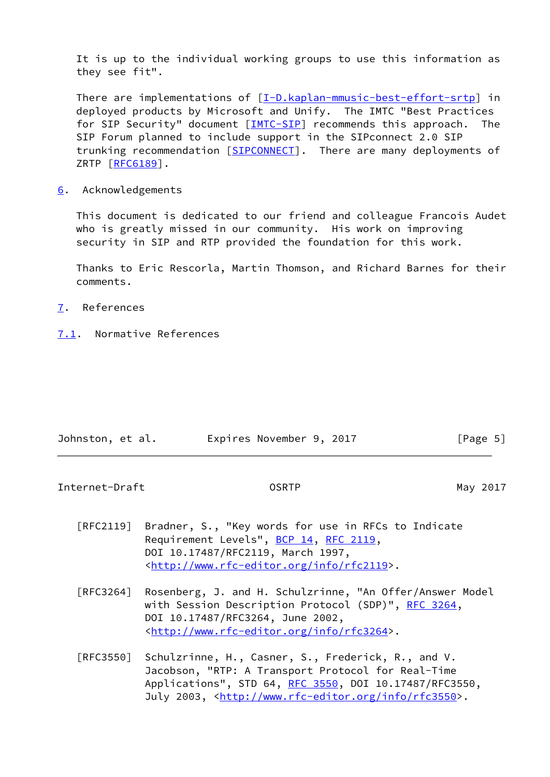It is up to the individual working groups to use this information as they see fit".

There are implementations of [\[I-D.kaplan-mmusic-best-effort-srtp\]](#page-2-4) in deployed products by Microsoft and Unify. The IMTC "Best Practices for SIP Security" document [[IMTC-SIP\]](#page-7-0) recommends this approach. The SIP Forum planned to include support in the SIPconnect 2.0 SIP trunking recommendation [\[SIPCONNECT\]](#page-7-1). There are many deployments of ZRTP [\[RFC6189](https://datatracker.ietf.org/doc/pdf/rfc6189)].

<span id="page-5-0"></span>[6](#page-5-0). Acknowledgements

 This document is dedicated to our friend and colleague Francois Audet who is greatly missed in our community. His work on improving security in SIP and RTP provided the foundation for this work.

 Thanks to Eric Rescorla, Martin Thomson, and Richard Barnes for their comments.

- <span id="page-5-1"></span>[7](#page-5-1). References
- <span id="page-5-2"></span>[7.1](#page-5-2). Normative References

| Johnston, et al. | Expires November 9, 2017 | [Page 5] |
|------------------|--------------------------|----------|

Internet-Draft **Contract COSRTP** COSRTP May 2017

- [RFC2119] Bradner, S., "Key words for use in RFCs to Indicate Requirement Levels", [BCP 14](https://datatracker.ietf.org/doc/pdf/bcp14), [RFC 2119](https://datatracker.ietf.org/doc/pdf/rfc2119), DOI 10.17487/RFC2119, March 1997, <<http://www.rfc-editor.org/info/rfc2119>>.
- [RFC3264] Rosenberg, J. and H. Schulzrinne, "An Offer/Answer Model with Session Description Protocol (SDP)", [RFC 3264](https://datatracker.ietf.org/doc/pdf/rfc3264), DOI 10.17487/RFC3264, June 2002, <<http://www.rfc-editor.org/info/rfc3264>>.
- [RFC3550] Schulzrinne, H., Casner, S., Frederick, R., and V. Jacobson, "RTP: A Transport Protocol for Real-Time Applications", STD 64, [RFC 3550](https://datatracker.ietf.org/doc/pdf/rfc3550), DOI 10.17487/RFC3550, July 2003, <<http://www.rfc-editor.org/info/rfc3550>>.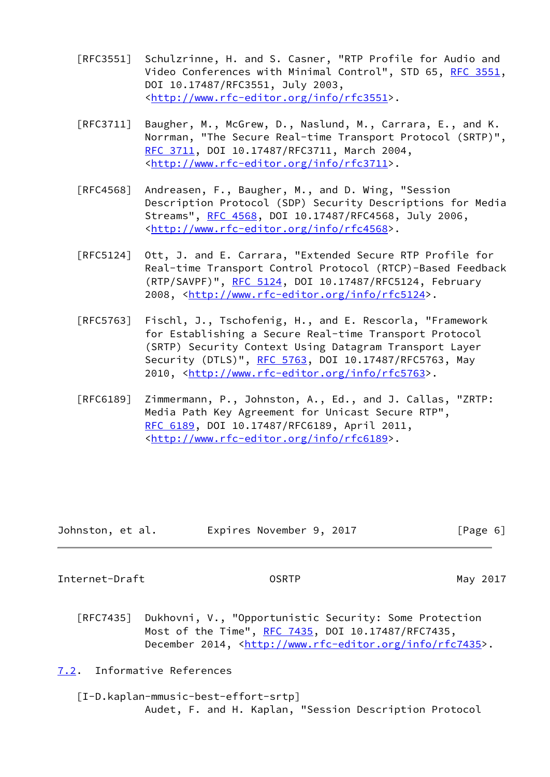- [RFC3551] Schulzrinne, H. and S. Casner, "RTP Profile for Audio and Video Conferences with Minimal Control", STD 65, [RFC 3551,](https://datatracker.ietf.org/doc/pdf/rfc3551) DOI 10.17487/RFC3551, July 2003, <<http://www.rfc-editor.org/info/rfc3551>>.
- [RFC3711] Baugher, M., McGrew, D., Naslund, M., Carrara, E., and K. Norrman, "The Secure Real-time Transport Protocol (SRTP)", [RFC 3711,](https://datatracker.ietf.org/doc/pdf/rfc3711) DOI 10.17487/RFC3711, March 2004, <<http://www.rfc-editor.org/info/rfc3711>>.
- [RFC4568] Andreasen, F., Baugher, M., and D. Wing, "Session Description Protocol (SDP) Security Descriptions for Media Streams", [RFC 4568](https://datatracker.ietf.org/doc/pdf/rfc4568), DOI 10.17487/RFC4568, July 2006, <<http://www.rfc-editor.org/info/rfc4568>>.
- [RFC5124] Ott, J. and E. Carrara, "Extended Secure RTP Profile for Real-time Transport Control Protocol (RTCP)-Based Feedback (RTP/SAVPF)", [RFC 5124](https://datatracker.ietf.org/doc/pdf/rfc5124), DOI 10.17487/RFC5124, February 2008, [<http://www.rfc-editor.org/info/rfc5124](http://www.rfc-editor.org/info/rfc5124)>.
- [RFC5763] Fischl, J., Tschofenig, H., and E. Rescorla, "Framework for Establishing a Secure Real-time Transport Protocol (SRTP) Security Context Using Datagram Transport Layer Security (DTLS)", [RFC 5763](https://datatracker.ietf.org/doc/pdf/rfc5763), DOI 10.17487/RFC5763, May 2010, [<http://www.rfc-editor.org/info/rfc5763](http://www.rfc-editor.org/info/rfc5763)>.
- [RFC6189] Zimmermann, P., Johnston, A., Ed., and J. Callas, "ZRTP: Media Path Key Agreement for Unicast Secure RTP", [RFC 6189,](https://datatracker.ietf.org/doc/pdf/rfc6189) DOI 10.17487/RFC6189, April 2011, <<http://www.rfc-editor.org/info/rfc6189>>.

| Johnston, et al. |  | Expires November 9, 2017 |  |  | [Page 6] |  |
|------------------|--|--------------------------|--|--|----------|--|
|------------------|--|--------------------------|--|--|----------|--|

<span id="page-6-1"></span>Internet-Draft OSRTP May 2017

 [RFC7435] Dukhovni, V., "Opportunistic Security: Some Protection Most of the Time", [RFC 7435](https://datatracker.ietf.org/doc/pdf/rfc7435), DOI 10.17487/RFC7435, December 2014, <<http://www.rfc-editor.org/info/rfc7435>>.

<span id="page-6-0"></span>[7.2](#page-6-0). Informative References

 [I-D.kaplan-mmusic-best-effort-srtp] Audet, F. and H. Kaplan, "Session Description Protocol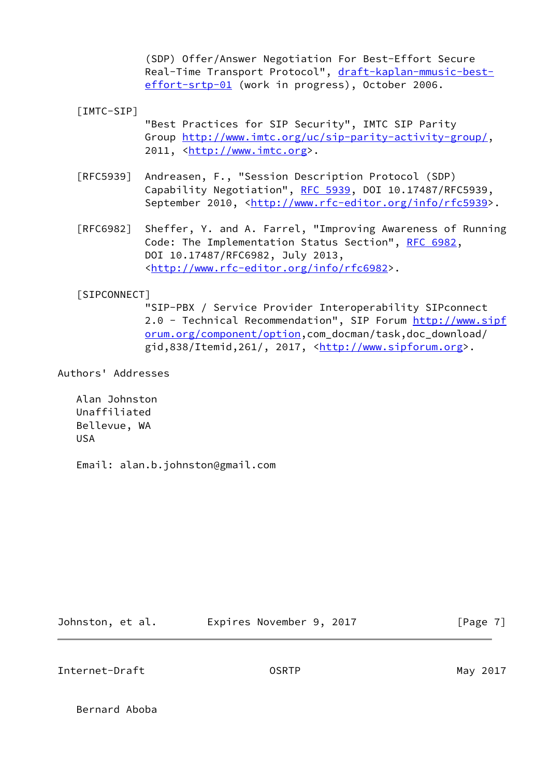(SDP) Offer/Answer Negotiation For Best-Effort Secure Real-Time Transport Protocol", [draft-kaplan-mmusic-best](https://datatracker.ietf.org/doc/pdf/draft-kaplan-mmusic-best-effort-srtp-01) [effort-srtp-01](https://datatracker.ietf.org/doc/pdf/draft-kaplan-mmusic-best-effort-srtp-01) (work in progress), October 2006.

<span id="page-7-0"></span>[IMTC-SIP]

 "Best Practices for SIP Security", IMTC SIP Parity Group<http://www.imtc.org/uc/sip-parity-activity-group/>, 2011, [<http://www.imtc.org](http://www.imtc.org)>.

- [RFC5939] Andreasen, F., "Session Description Protocol (SDP) Capability Negotiation", [RFC 5939,](https://datatracker.ietf.org/doc/pdf/rfc5939) DOI 10.17487/RFC5939, September 2010, <<http://www.rfc-editor.org/info/rfc5939>>.
- [RFC6982] Sheffer, Y. and A. Farrel, "Improving Awareness of Running Code: The Implementation Status Section", [RFC 6982](https://datatracker.ietf.org/doc/pdf/rfc6982), DOI 10.17487/RFC6982, July 2013, <<http://www.rfc-editor.org/info/rfc6982>>.

## <span id="page-7-1"></span>[SIPCONNECT]

 "SIP-PBX / Service Provider Interoperability SIPconnect 2.0 - Technical Recommendation", SIP Forum [http://www.sipf](http://www.sipforum.org/component/option) [orum.org/component/option,](http://www.sipforum.org/component/option)com\_docman/task,doc\_download/ gid,838/Itemid,261/, 2017, <<http://www.sipforum.org>>.

Authors' Addresses

 Alan Johnston Unaffiliated Bellevue, WA USA

Email: alan.b.johnston@gmail.com

Johnston, et al. **Expires November 9, 2017**[Page 7]

Internet-Draft OSRTP May 2017

Bernard Aboba